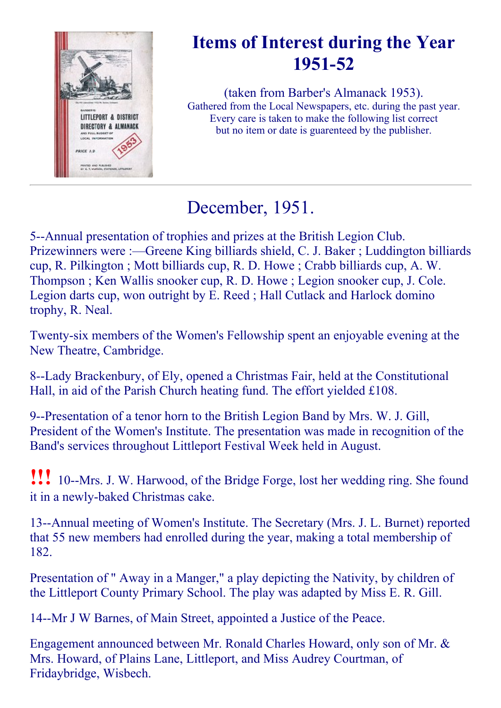

# Items of Interest during the Year 1951-52

(taken from Barber's Almanack 1953). Gathered from the Local Newspapers, etc. during the past year. Every care is taken to make the following list correct but no item or date is guarenteed by the publisher.

# December, 1951.

5--Annual presentation of trophies and prizes at the British Legion Club. Prizewinners were :—Greene King billiards shield, C. J. Baker ; Luddington billiards cup, R. Pilkington ; Mott billiards cup, R. D. Howe ; Crabb billiards cup, A. W. Thompson ; Ken Wallis snooker cup, R. D. Howe ; Legion snooker cup, J. Cole. Legion darts cup, won outright by E. Reed ; Hall Cutlack and Harlock domino trophy, R. Neal.

Twenty-six members of the Women's Fellowship spent an enjoyable evening at the New Theatre, Cambridge.

8--Lady Brackenbury, of Ely, opened a Christmas Fair, held at the Constitutional Hall, in aid of the Parish Church heating fund. The effort yielded £108.

9--Presentation of a tenor horn to the British Legion Band by Mrs. W. J. Gill, President of the Women's Institute. The presentation was made in recognition of the Band's services throughout Littleport Festival Week held in August.

**!!!** 10--Mrs. J. W. Harwood, of the Bridge Forge, lost her wedding ring. She found it in a newly-baked Christmas cake.

13--Annual meeting of Women's Institute. The Secretary (Mrs. J. L. Burnet) reported that 55 new members had enrolled during the year, making a total membership of 182.

Presentation of " Away in a Manger," a play depicting the Nativity, by children of the Littleport County Primary School. The play was adapted by Miss E. R. Gill.

14--Mr J W Barnes, of Main Street, appointed a Justice of the Peace.

Engagement announced between Mr. Ronald Charles Howard, only son of Mr. & Mrs. Howard, of Plains Lane, Littleport, and Miss Audrey Courtman, of Fridaybridge, Wisbech.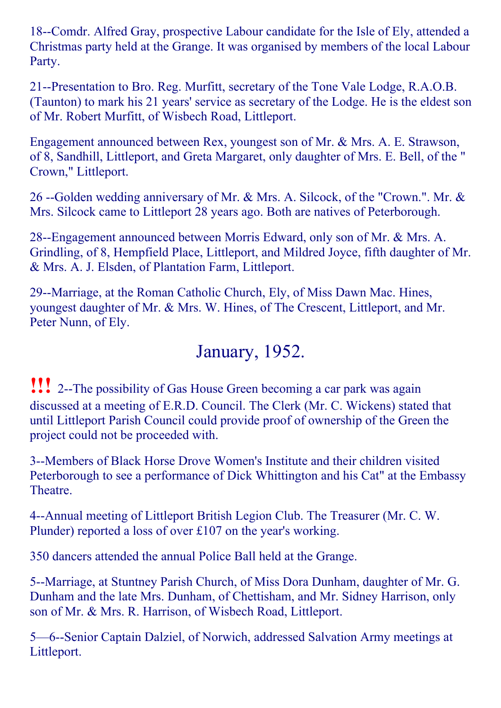18--Comdr. Alfred Gray, prospective Labour candidate for the Isle of Ely, attended a Christmas party held at the Grange. It was organised by members of the local Labour Party.

21--Presentation to Bro. Reg. Murfitt, secretary of the Tone Vale Lodge, R.A.O.B. (Taunton) to mark his 21 years' service as secretary of the Lodge. He is the eldest son of Mr. Robert Murfitt, of Wisbech Road, Littleport.

Engagement announced between Rex, youngest son of Mr. & Mrs. A. E. Strawson, of 8, Sandhill, Littleport, and Greta Margaret, only daughter of Mrs. E. Bell, of the " Crown," Littleport.

26 --Golden wedding anniversary of Mr. & Mrs. A. Silcock, of the "Crown.". Mr. & Mrs. Silcock came to Littleport 28 years ago. Both are natives of Peterborough.

28--Engagement announced between Morris Edward, only son of Mr. & Mrs. A. Grindling, of 8, Hempfield Place, Littleport, and Mildred Joyce, fifth daughter of Mr. & Mrs. A. J. Elsden, of Plantation Farm, Littleport.

29--Marriage, at the Roman Catholic Church, Ely, of Miss Dawn Mac. Hines, youngest daughter of Mr. & Mrs. W. Hines, of The Crescent, Littleport, and Mr. Peter Nunn, of Ely.

### January, 1952.

**!!!** 2--The possibility of Gas House Green becoming a car park was again discussed at a meeting of E.R.D. Council. The Clerk (Mr. C. Wickens) stated that until Littleport Parish Council could provide proof of ownership of the Green the project could not be proceeded with.

3--Members of Black Horse Drove Women's Institute and their children visited Peterborough to see a performance of Dick Whittington and his Cat" at the Embassy Theatre.

4--Annual meeting of Littleport British Legion Club. The Treasurer (Mr. C. W. Plunder) reported a loss of over £107 on the year's working.

350 dancers attended the annual Police Ball held at the Grange.

5--Marriage, at Stuntney Parish Church, of Miss Dora Dunham, daughter of Mr. G. Dunham and the late Mrs. Dunham, of Chettisham, and Mr. Sidney Harrison, only son of Mr. & Mrs. R. Harrison, of Wisbech Road, Littleport.

5—6-Senior Captain Dalziel, of Norwich, addressed Salvation Army meetings at Littleport.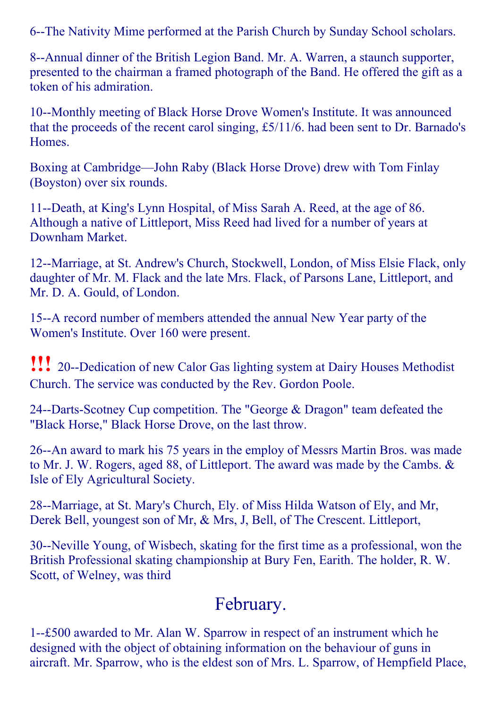6--The Nativity Mime performed at the Parish Church by Sunday School scholars.

8--Annual dinner of the British Legion Band. Mr. A. Warren, a staunch supporter, presented to the chairman a framed photograph of the Band. He offered the gift as a token of his admiration.

10--Monthly meeting of Black Horse Drove Women's Institute. It was announced that the proceeds of the recent carol singing, £5/11/6. had been sent to Dr. Barnado's Homes.

Boxing at Cambridge—John Raby (Black Horse Drove) drew with Tom Finlay (Boyston) over six rounds.

11--Death, at King's Lynn Hospital, of Miss Sarah A. Reed, at the age of 86. Although a native of Littleport, Miss Reed had lived for a number of years at Downham Market.

12--Marriage, at St. Andrew's Church, Stockwell, London, of Miss Elsie Flack, only daughter of Mr. M. Flack and the late Mrs. Flack, of Parsons Lane, Littleport, and Mr. D. A. Gould, of London.

15--A record number of members attended the annual New Year party of the Women's Institute. Over 160 were present.

**!!!** 20--Dedication of new Calor Gas lighting system at Dairy Houses Methodist Church. The service was conducted by the Rev. Gordon Poole.

24--Darts-Scotney Cup competition. The "George  $&$  Dragon" team defeated the "Black Horse," Black Horse Drove, on the last throw.

26--An award to mark his 75 years in the employ of Messrs Martin Bros. was made to Mr. J. W. Rogers, aged 88, of Littleport. The award was made by the Cambs. & Isle of Ely Agricultural Society.

28--Marriage, at St. Mary's Church, Ely. of Miss Hilda Watson of Ely, and Mr, Derek Bell, youngest son of Mr, & Mrs, J, Bell, of The Crescent. Littleport,

30--Neville Young, of Wisbech, skating for the first time as a professional, won the British Professional skating championship at Bury Fen, Earith. The holder, R. W. Scott, of Welney, was third

#### February.

1£500 awarded to Mr. Alan W. Sparrow in respect of an instrument which he designed with the object of obtaining information on the behaviour of guns in aircraft. Mr. Sparrow, who is the eldest son of Mrs. L. Sparrow, of Hempfield Place,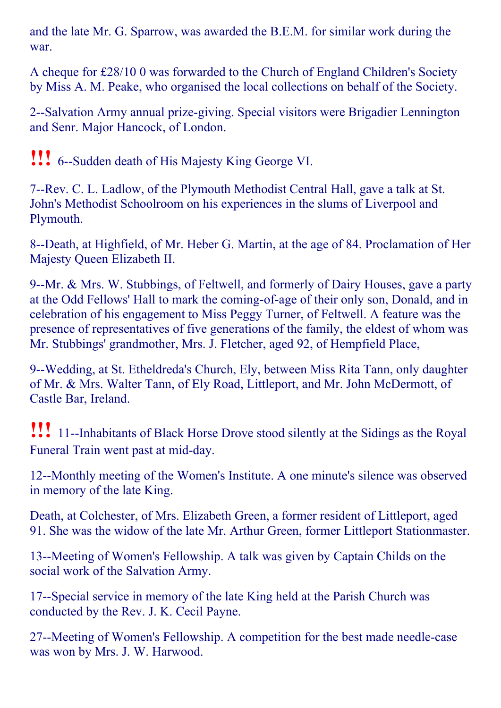and the late Mr. G. Sparrow, was awarded the B.E.M. for similar work during the war.

A cheque for £28/10 0 was forwarded to the Church of England Children's Society by Miss A. M. Peake, who organised the local collections on behalf of the Society.

2--Salvation Army annual prize-giving. Special visitors were Brigadier Lennington and Senr. Major Hancock, of London.

**!!!** 6--Sudden death of His Majesty King George VI.

7--Rev. C. L. Ladlow, of the Plymouth Methodist Central Hall, gave a talk at St. John's Methodist Schoolroom on his experiences in the slums of Liverpool and Plymouth.

8--Death, at Highfield, of Mr. Heber G. Martin, at the age of 84. Proclamation of Her Majesty Queen Elizabeth II.

9--Mr. & Mrs. W. Stubbings, of Feltwell, and formerly of Dairy Houses, gave a party at the Odd Fellows' Hall to mark the coming-of-age of their only son, Donald, and in celebration of his engagement to Miss Peggy Turner, of Feltwell. A feature was the presence of representatives of five generations of the family, the eldest of whom was Mr. Stubbings' grandmother, Mrs. J. Fletcher, aged 92, of Hempfield Place,

9--Wedding, at St. Etheldreda's Church, Ely, between Miss Rita Tann, only daughter of Mr. & Mrs. Walter Tann, of Ely Road, Littleport, and Mr. John McDermott, of Castle Bar, Ireland.

!!! 11Inhabitants of Black Horse Drove stood silently at the Sidings as the Royal Funeral Train went past at mid-day.

12--Monthly meeting of the Women's Institute. A one minute's silence was observed in memory of the late King.

Death, at Colchester, of Mrs. Elizabeth Green, a former resident of Littleport, aged 91. She was the widow of the late Mr. Arthur Green, former Littleport Stationmaster.

13--Meeting of Women's Fellowship. A talk was given by Captain Childs on the social work of the Salvation Army.

17--Special service in memory of the late King held at the Parish Church was conducted by the Rev. J. K. Cecil Payne.

27--Meeting of Women's Fellowship. A competition for the best made needle-case was won by Mrs. J. W. Harwood.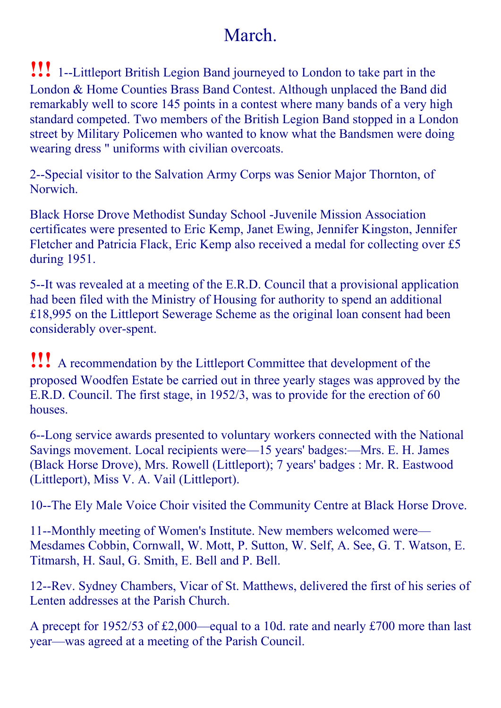### March.

**!!!** 1--Littleport British Legion Band journeyed to London to take part in the London & Home Counties Brass Band Contest. Although unplaced the Band did remarkably well to score 145 points in a contest where many bands of a very high standard competed. Two members of the British Legion Band stopped in a London street by Military Policemen who wanted to know what the Bandsmen were doing wearing dress " uniforms with civilian overcoats.

2--Special visitor to the Salvation Army Corps was Senior Major Thornton, of Norwich.

Black Horse Drove Methodist Sunday School Juvenile Mission Association certificates were presented to Eric Kemp, Janet Ewing, Jennifer Kingston, Jennifer Fletcher and Patricia Flack, Eric Kemp also received a medal for collecting over £5 during 1951.

5--It was revealed at a meeting of the E.R.D. Council that a provisional application had been filed with the Ministry of Housing for authority to spend an additional £18,995 on the Littleport Sewerage Scheme as the original loan consent had been considerably over-spent.

!!! <sup>A</sup> recommendation by the Littleport Committee that development of the proposed Woodfen Estate be carried out in three yearly stages was approved by the E.R.D. Council. The first stage, in 1952/3, was to provide for the erection of 60 houses.

6--Long service awards presented to voluntary workers connected with the National Savings movement. Local recipients were—15 years' badges:—Mrs. E. H. James (Black Horse Drove), Mrs. Rowell (Littleport); 7 years' badges : Mr. R. Eastwood (Littleport), Miss V. A. Vail (Littleport).

10--The Ely Male Voice Choir visited the Community Centre at Black Horse Drove.

11--Monthly meeting of Women's Institute. New members welcomed were— Mesdames Cobbin, Cornwall, W. Mott, P. Sutton, W. Self, A. See, G. T. Watson, E. Titmarsh, H. Saul, G. Smith, E. Bell and P. Bell.

12--Rev. Sydney Chambers, Vicar of St. Matthews, delivered the first of his series of Lenten addresses at the Parish Church.

A precept for 1952/53 of £2,000—equal to a 10d. rate and nearly £700 more than last year—was agreed at a meeting of the Parish Council.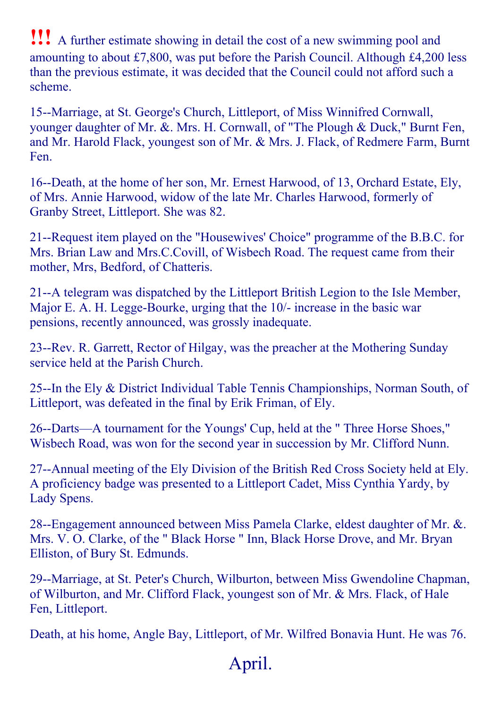!!! <sup>A</sup> further estimate showing in detail the cost of <sup>a</sup> new swimming pool and amounting to about £7,800, was put before the Parish Council. Although £4,200 less than the previous estimate, it was decided that the Council could not afford such a scheme.

15--Marriage, at St. George's Church, Littleport, of Miss Winnifred Cornwall, younger daughter of Mr. &. Mrs. H. Cornwall, of "The Plough & Duck," Burnt Fen, and Mr. Harold Flack, youngest son of Mr. & Mrs. J. Flack, of Redmere Farm, Burnt Fen.

16--Death, at the home of her son, Mr. Ernest Harwood, of 13, Orchard Estate, Ely, of Mrs. Annie Harwood, widow of the late Mr. Charles Harwood, formerly of Granby Street, Littleport. She was 82.

21--Request item played on the "Housewives' Choice" programme of the B.B.C. for Mrs. Brian Law and Mrs.C.Covill, of Wisbech Road. The request came from their mother, Mrs, Bedford, of Chatteris.

21--A telegram was dispatched by the Littleport British Legion to the Isle Member, Major E. A. H. Legge-Bourke, urging that the 10/- increase in the basic war pensions, recently announced, was grossly inadequate.

23--Rev. R. Garrett, Rector of Hilgay, was the preacher at the Mothering Sunday service held at the Parish Church.

25--In the Ely & District Individual Table Tennis Championships, Norman South, of Littleport, was defeated in the final by Erik Friman, of Ely.

26--Darts—A tournament for the Youngs' Cup, held at the " Three Horse Shoes," Wisbech Road, was won for the second year in succession by Mr. Clifford Nunn.

27--Annual meeting of the Ely Division of the British Red Cross Society held at Ely. A proficiency badge was presented to a Littleport Cadet, Miss Cynthia Yardy, by Lady Spens.

28--Engagement announced between Miss Pamela Clarke, eldest daughter of Mr. &. Mrs. V. O. Clarke, of the " Black Horse " Inn, Black Horse Drove, and Mr. Bryan Elliston, of Bury St. Edmunds.

29--Marriage, at St. Peter's Church, Wilburton, between Miss Gwendoline Chapman, of Wilburton, and Mr. Clifford Flack, youngest son of Mr. & Mrs. Flack, of Hale Fen, Littleport.

Death, at his home, Angle Bay, Littleport, of Mr. Wilfred Bonavia Hunt. He was 76.

# April.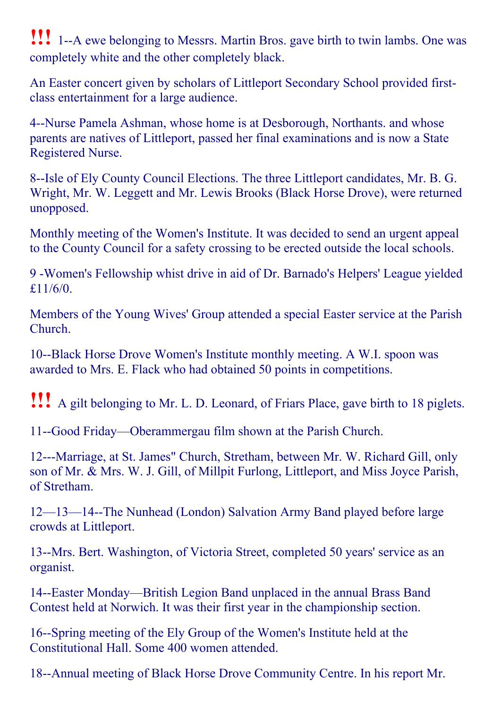**!!!** 1--A ewe belonging to Messrs. Martin Bros. gave birth to twin lambs. One was completely white and the other completely black.

An Easter concert given by scholars of Littleport Secondary School provided firstclass entertainment for a large audience.

4--Nurse Pamela Ashman, whose home is at Desborough, Northants. and whose parents are natives of Littleport, passed her final examinations and is now a State Registered Nurse.

8--Isle of Ely County Council Elections. The three Littleport candidates, Mr. B. G. Wright, Mr. W. Leggett and Mr. Lewis Brooks (Black Horse Drove), were returned unopposed.

Monthly meeting of the Women's Institute. It was decided to send an urgent appeal to the County Council for a safety crossing to be erected outside the local schools.

9 Women's Fellowship whist drive in aid of Dr. Barnado's Helpers' League yielded £11/6/0.

Members of the Young Wives' Group attended a special Easter service at the Parish Church.

10--Black Horse Drove Women's Institute monthly meeting. A W.I. spoon was awarded to Mrs. E. Flack who had obtained 50 points in competitions.

!!! <sup>A</sup> gilt belonging to Mr. L. D. Leonard, of Friars Place, gave birth to <sup>18</sup> piglets.

11-Good Friday—Oberammergau film shown at the Parish Church.

12---Marriage, at St. James" Church, Stretham, between Mr. W. Richard Gill, only son of Mr. & Mrs. W. J. Gill, of Millpit Furlong, Littleport, and Miss Joyce Parish, of Stretham.

12—13—14--The Nunhead (London) Salvation Army Band played before large crowds at Littleport.

13--Mrs. Bert. Washington, of Victoria Street, completed 50 years' service as an organist.

14--Easter Monday—British Legion Band unplaced in the annual Brass Band Contest held at Norwich. It was their first year in the championship section.

16--Spring meeting of the Ely Group of the Women's Institute held at the Constitutional Hall. Some 400 women attended.

18--Annual meeting of Black Horse Drove Community Centre. In his report Mr.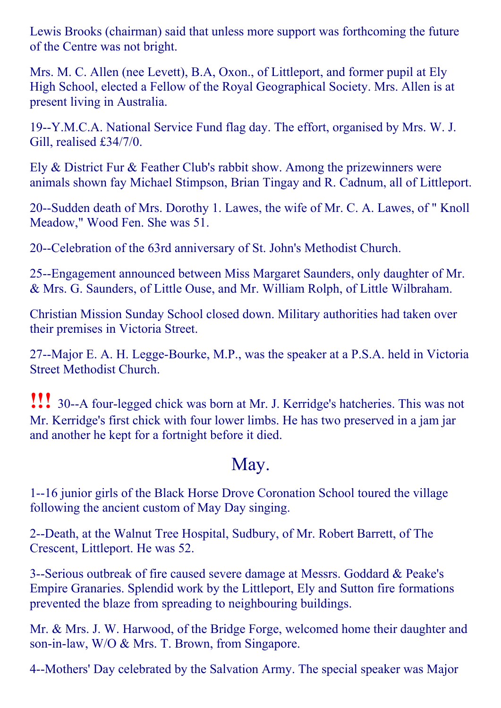Lewis Brooks (chairman) said that unless more support was forthcoming the future of the Centre was not bright.

Mrs. M. C. Allen (nee Levett), B.A, Oxon., of Littleport, and former pupil at Ely High School, elected a Fellow of the Royal Geographical Society. Mrs. Allen is at present living in Australia.

19--Y.M.C.A. National Service Fund flag day. The effort, organised by Mrs. W. J. Gill, realised £34/7/0.

Ely & District Fur & Feather Club's rabbit show. Among the prizewinners were animals shown fay Michael Stimpson, Brian Tingay and R. Cadnum, all of Littleport.

20--Sudden death of Mrs. Dorothy 1. Lawes, the wife of Mr. C. A. Lawes, of " Knoll Meadow," Wood Fen. She was 51.

20--Celebration of the 63rd anniversary of St. John's Methodist Church.

25--Engagement announced between Miss Margaret Saunders, only daughter of Mr. & Mrs. G. Saunders, of Little Ouse, and Mr. William Rolph, of Little Wilbraham.

Christian Mission Sunday School closed down. Military authorities had taken over their premises in Victoria Street.

27--Major E. A. H. Legge-Bourke, M.P., was the speaker at a P.S.A. held in Victoria Street Methodist Church.

**!!!** 30--A four-legged chick was born at Mr. J. Kerridge's hatcheries. This was not Mr. Kerridge's first chick with four lower limbs. He has two preserved in a jam jar and another he kept for a fortnight before it died.

#### May.

116 junior girls of the Black Horse Drove Coronation School toured the village following the ancient custom of May Day singing.

2--Death, at the Walnut Tree Hospital, Sudbury, of Mr. Robert Barrett, of The Crescent, Littleport. He was 52.

3--Serious outbreak of fire caused severe damage at Messrs. Goddard & Peake's Empire Granaries. Splendid work by the Littleport, Ely and Sutton fire formations prevented the blaze from spreading to neighbouring buildings.

Mr. & Mrs. J. W. Harwood, of the Bridge Forge, welcomed home their daughter and son-in-law, W/O & Mrs. T. Brown, from Singapore.

4--Mothers' Day celebrated by the Salvation Army. The special speaker was Major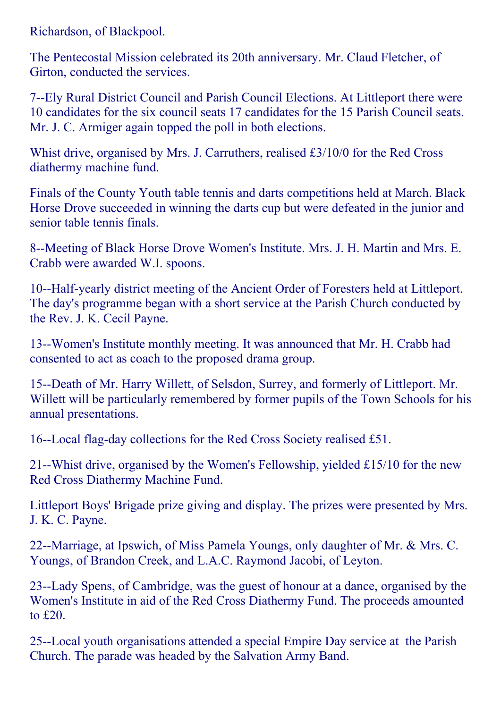Richardson, of Blackpool.

The Pentecostal Mission celebrated its 20th anniversary. Mr. Claud Fletcher, of Girton, conducted the services.

7--Ely Rural District Council and Parish Council Elections. At Littleport there were 10 candidates for the six council seats 17 candidates for the 15 Parish Council seats. Mr. J. C. Armiger again topped the poll in both elections.

Whist drive, organised by Mrs. J. Carruthers, realised £3/10/0 for the Red Cross diathermy machine fund.

Finals of the County Youth table tennis and darts competitions held at March. Black Horse Drove succeeded in winning the darts cup but were defeated in the junior and senior table tennis finals.

8--Meeting of Black Horse Drove Women's Institute. Mrs. J. H. Martin and Mrs. E. Crabb were awarded W.I. spoons.

10--Half-yearly district meeting of the Ancient Order of Foresters held at Littleport. The day's programme began with a short service at the Parish Church conducted by the Rev. J. K. Cecil Payne.

13--Women's Institute monthly meeting. It was announced that Mr. H. Crabb had consented to act as coach to the proposed drama group.

15--Death of Mr. Harry Willett, of Selsdon, Surrey, and formerly of Littleport. Mr. Willett will be particularly remembered by former pupils of the Town Schools for his annual presentations.

16--Local flag-day collections for the Red Cross Society realised £51.

21--Whist drive, organised by the Women's Fellowship, yielded  $£15/10$  for the new Red Cross Diathermy Machine Fund.

Littleport Boys' Brigade prize giving and display. The prizes were presented by Mrs. J. K. C. Payne.

22--Marriage, at Ipswich, of Miss Pamela Youngs, only daughter of Mr. & Mrs. C. Youngs, of Brandon Creek, and L.A.C. Raymond Jacobi, of Leyton.

23--Lady Spens, of Cambridge, was the guest of honour at a dance, organised by the Women's Institute in aid of the Red Cross Diathermy Fund. The proceeds amounted to £20.

25--Local youth organisations attended a special Empire Day service at the Parish Church. The parade was headed by the Salvation Army Band.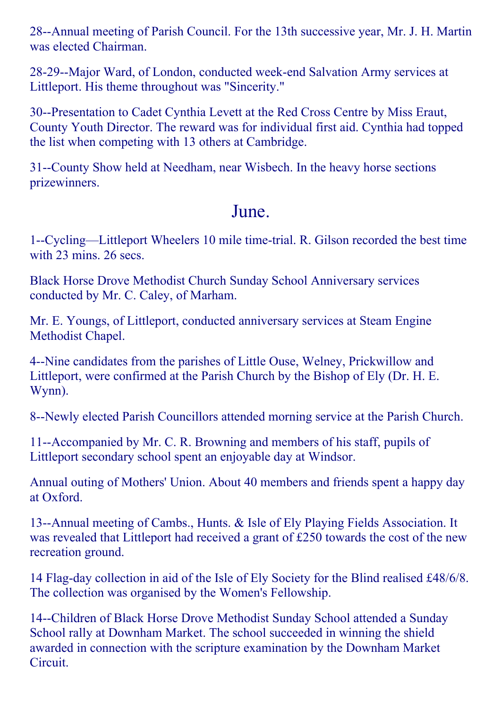28--Annual meeting of Parish Council. For the 13th successive year, Mr. J. H. Martin was elected Chairman.

28-29--Major Ward, of London, conducted week-end Salvation Army services at Littleport. His theme throughout was "Sincerity."

30--Presentation to Cadet Cynthia Levett at the Red Cross Centre by Miss Eraut, County Youth Director. The reward was for individual first aid. Cynthia had topped the list when competing with 13 others at Cambridge.

31--County Show held at Needham, near Wisbech. In the heavy horse sections prizewinners.

#### June.

1--Cycling—Littleport Wheelers 10 mile time-trial. R. Gilson recorded the best time with 23 mins. 26 secs.

Black Horse Drove Methodist Church Sunday School Anniversary services conducted by Mr. C. Caley, of Marham.

Mr. E. Youngs, of Littleport, conducted anniversary services at Steam Engine Methodist Chapel.

4--Nine candidates from the parishes of Little Ouse, Welney, Prickwillow and Littleport, were confirmed at the Parish Church by the Bishop of Ely (Dr. H. E. Wynn).

8--Newly elected Parish Councillors attended morning service at the Parish Church.

11--Accompanied by Mr. C. R. Browning and members of his staff, pupils of Littleport secondary school spent an enjoyable day at Windsor.

Annual outing of Mothers' Union. About 40 members and friends spent a happy day at Oxford.

13--Annual meeting of Cambs., Hunts. & Isle of Ely Playing Fields Association. It was revealed that Littleport had received a grant of £250 towards the cost of the new recreation ground.

14 Flag-day collection in aid of the Isle of Ely Society for the Blind realised £48/6/8. The collection was organised by the Women's Fellowship.

14--Children of Black Horse Drove Methodist Sunday School attended a Sunday School rally at Downham Market. The school succeeded in winning the shield awarded in connection with the scripture examination by the Downham Market Circuit.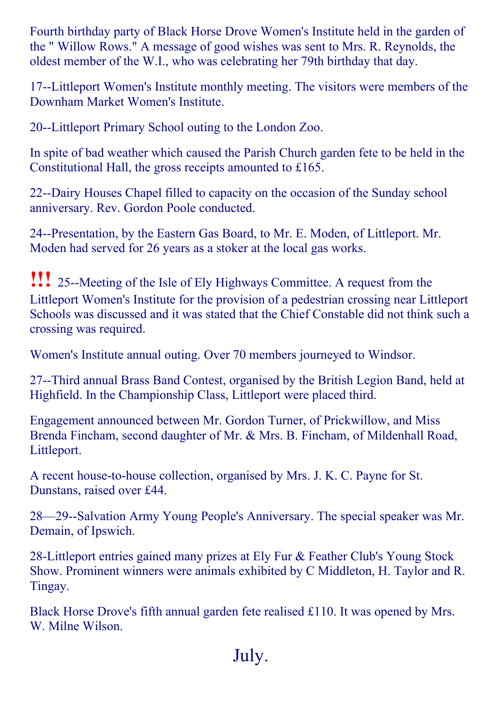Fourth birthday party of Black Horse Drove Women's Institute held in the garden of the " Willow Rows." A message of good wishes was sent to Mrs. R. Reynolds, the oldest member of the W.I., who was celebrating her 79th birthday that day.

17--Littleport Women's Institute monthly meeting. The visitors were members of the Downham Market Women's Institute.

20--Littleport Primary School outing to the London Zoo.

In spite of bad weather which caused the Parish Church garden fete to be held in the Constitutional Hall, the gross receipts amounted to £165.

22--Dairy Houses Chapel filled to capacity on the occasion of the Sunday school anniversary. Rev. Gordon Poole conducted.

24--Presentation, by the Eastern Gas Board, to Mr. E. Moden, of Littleport. Mr. Moden had served for 26 years as a stoker at the local gas works.

**!!!** 25--Meeting of the Isle of Ely Highways Committee. A request from the Littleport Women's Institute for the provision of a pedestrian crossing near Littleport Schools was discussed and it was stated that the Chief Constable did not think such a crossing was required.

Women's Institute annual outing. Over 70 members journeyed to Windsor.

27--Third annual Brass Band Contest, organised by the British Legion Band, held at Highfield. In the Championship Class, Littleport were placed third.

Engagement announced between Mr. Gordon Turner, of Prickwillow, and Miss Brenda Fincham, second daughter of Mr. & Mrs. B. Fincham, of Mildenhall Road, Littleport.

A recent house-to-house collection, organised by Mrs. J. K. C. Payne for St. Dunstans, raised over £44.

28—29--Salvation Army Young People's Anniversary. The special speaker was Mr. Demain, of Ipswich.

28-Littleport entries gained many prizes at Ely Fur & Feather Club's Young Stock Show. Prominent winners were animals exhibited by C Middleton, H. Taylor and R. Tingay.

Black Horse Drove's fifth annual garden fete realised £110. It was opened by Mrs. W. Milne Wilson.

July.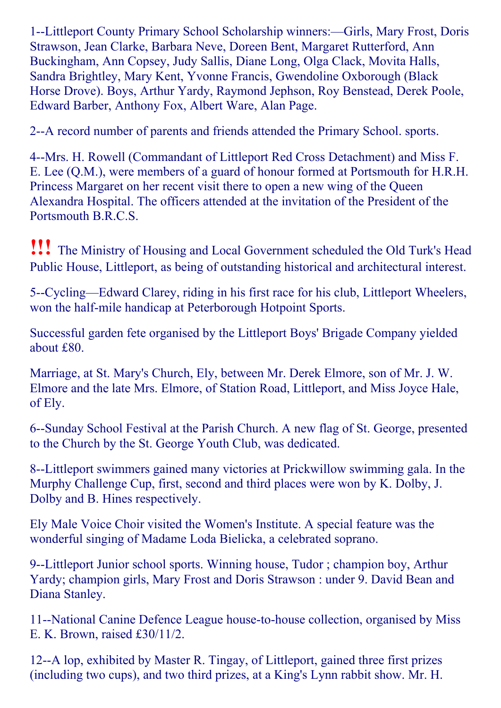1--Littleport County Primary School Scholarship winners: -- Girls, Mary Frost, Doris Strawson, Jean Clarke, Barbara Neve, Doreen Bent, Margaret Rutterford, Ann Buckingham, Ann Copsey, Judy Sallis, Diane Long, Olga Clack, Movita Halls, Sandra Brightley, Mary Kent, Yvonne Francis, Gwendoline Oxborough (Black Horse Drove). Boys, Arthur Yardy, Raymond Jephson, Roy Benstead, Derek Poole, Edward Barber, Anthony Fox, Albert Ware, Alan Page.

2--A record number of parents and friends attended the Primary School. sports.

4--Mrs. H. Rowell (Commandant of Littleport Red Cross Detachment) and Miss F. E. Lee (Q.M.), were members of a guard of honour formed at Portsmouth for H.R.H. Princess Margaret on her recent visit there to open a new wing of the Queen Alexandra Hospital. The officers attended at the invitation of the President of the Portsmouth B.R.C.S.

!!! The Ministry of Housing and Local Government scheduled the Old Turk's Head Public House, Littleport, as being of outstanding historical and architectural interest.

5--Cycling—Edward Clarey, riding in his first race for his club, Littleport Wheelers, won the half-mile handicap at Peterborough Hotpoint Sports.

Successful garden fete organised by the Littleport Boys' Brigade Company yielded about £80.

Marriage, at St. Mary's Church, Ely, between Mr. Derek Elmore, son of Mr. J. W. Elmore and the late Mrs. Elmore, of Station Road, Littleport, and Miss Joyce Hale, of Ely.

6--Sunday School Festival at the Parish Church. A new flag of St. George, presented to the Church by the St. George Youth Club, was dedicated.

8--Littleport swimmers gained many victories at Prickwillow swimming gala. In the Murphy Challenge Cup, first, second and third places were won by K. Dolby, J. Dolby and B. Hines respectively.

Ely Male Voice Choir visited the Women's Institute. A special feature was the wonderful singing of Madame Loda Bielicka, a celebrated soprano.

9--Littleport Junior school sports. Winning house, Tudor; champion boy, Arthur Yardy; champion girls, Mary Frost and Doris Strawson : under 9. David Bean and Diana Stanley.

11--National Canine Defence League house-to-house collection, organised by Miss E. K. Brown, raised £30/11/2.

12--A lop, exhibited by Master R. Tingay, of Littleport, gained three first prizes (including two cups), and two third prizes, at a King's Lynn rabbit show. Mr. H.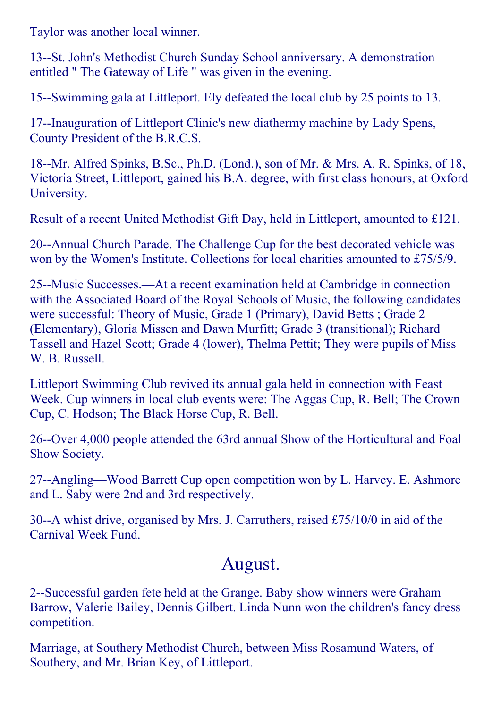Taylor was another local winner.

13--St. John's Methodist Church Sunday School anniversary. A demonstration entitled " The Gateway of Life " was given in the evening.

15--Swimming gala at Littleport. Ely defeated the local club by 25 points to 13.

17--Inauguration of Littleport Clinic's new diathermy machine by Lady Spens, County President of the B.R.C.S.

18--Mr. Alfred Spinks, B.Sc., Ph.D. (Lond.), son of Mr. & Mrs. A. R. Spinks, of 18, Victoria Street, Littleport, gained his B.A. degree, with first class honours, at Oxford University.

Result of a recent United Methodist Gift Day, held in Littleport, amounted to £121.

20--Annual Church Parade. The Challenge Cup for the best decorated vehicle was won by the Women's Institute. Collections for local charities amounted to £75/5/9.

25--Music Successes.—At a recent examination held at Cambridge in connection with the Associated Board of the Royal Schools of Music, the following candidates were successful: Theory of Music, Grade 1 (Primary), David Betts ; Grade 2 (Elementary), Gloria Missen and Dawn Murfitt; Grade 3 (transitional); Richard Tassell and Hazel Scott; Grade 4 (lower), Thelma Pettit; They were pupils of Miss W. B. Russell.

Littleport Swimming Club revived its annual gala held in connection with Feast Week. Cup winners in local club events were: The Aggas Cup, R. Bell; The Crown Cup, C. Hodson; The Black Horse Cup, R. Bell.

26--Over 4,000 people attended the 63rd annual Show of the Horticultural and Foal Show Society.

27--Angling—Wood Barrett Cup open competition won by L. Harvey. E. Ashmore and L. Saby were 2nd and 3rd respectively.

30--A whist drive, organised by Mrs. J. Carruthers, raised  $£75/10/0$  in aid of the Carnival Week Fund.

#### August.

2--Successful garden fete held at the Grange. Baby show winners were Graham Barrow, Valerie Bailey, Dennis Gilbert. Linda Nunn won the children's fancy dress competition.

Marriage, at Southery Methodist Church, between Miss Rosamund Waters, of Southery, and Mr. Brian Key, of Littleport.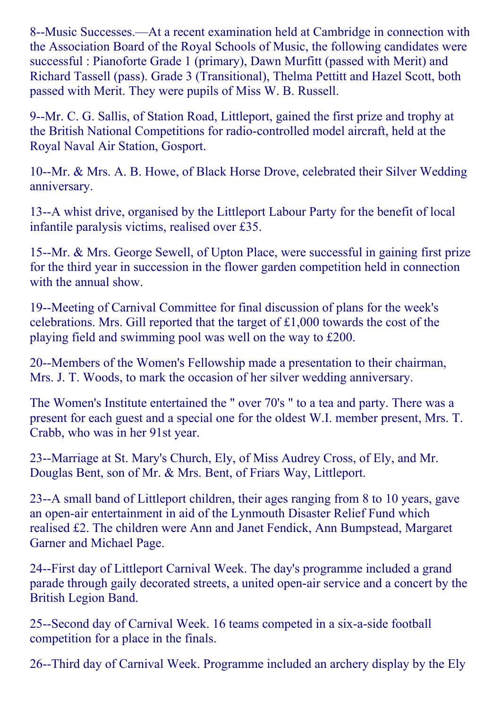8--Music Successes.—At a recent examination held at Cambridge in connection with the Association Board of the Royal Schools of Music, the following candidates were successful : Pianoforte Grade 1 (primary), Dawn Murfitt (passed with Merit) and Richard Tassell (pass). Grade 3 (Transitional), Thelma Pettitt and Hazel Scott, both passed with Merit. They were pupils of Miss W. B. Russell.

9--Mr. C. G. Sallis, of Station Road, Littleport, gained the first prize and trophy at the British National Competitions for radio-controlled model aircraft, held at the Royal Naval Air Station, Gosport.

10--Mr. & Mrs. A. B. Howe, of Black Horse Drove, celebrated their Silver Wedding anniversary.

13--A whist drive, organised by the Littleport Labour Party for the benefit of local infantile paralysis victims, realised over £35.

15--Mr. & Mrs. George Sewell, of Upton Place, were successful in gaining first prize for the third year in succession in the flower garden competition held in connection with the annual show.

19--Meeting of Carnival Committee for final discussion of plans for the week's celebrations. Mrs. Gill reported that the target of £1,000 towards the cost of the playing field and swimming pool was well on the way to £200.

20--Members of the Women's Fellowship made a presentation to their chairman, Mrs. J. T. Woods, to mark the occasion of her silver wedding anniversary.

The Women's Institute entertained the " over 70's " to a tea and party. There was a present for each guest and a special one for the oldest W.I. member present, Mrs. T. Crabb, who was in her 91st year.

23--Marriage at St. Mary's Church, Ely, of Miss Audrey Cross, of Ely, and Mr. Douglas Bent, son of Mr. & Mrs. Bent, of Friars Way, Littleport.

23--A small band of Littleport children, their ages ranging from 8 to 10 years, gave an open-air entertainment in aid of the Lynmouth Disaster Relief Fund which realised £2. The children were Ann and Janet Fendick, Ann Bumpstead, Margaret Garner and Michael Page.

24-First day of Littleport Carnival Week. The day's programme included a grand parade through gaily decorated streets, a united open-air service and a concert by the British Legion Band.

25-Second day of Carnival Week. 16 teams competed in a six-a-side football competition for a place in the finals.

26--Third day of Carnival Week. Programme included an archery display by the Ely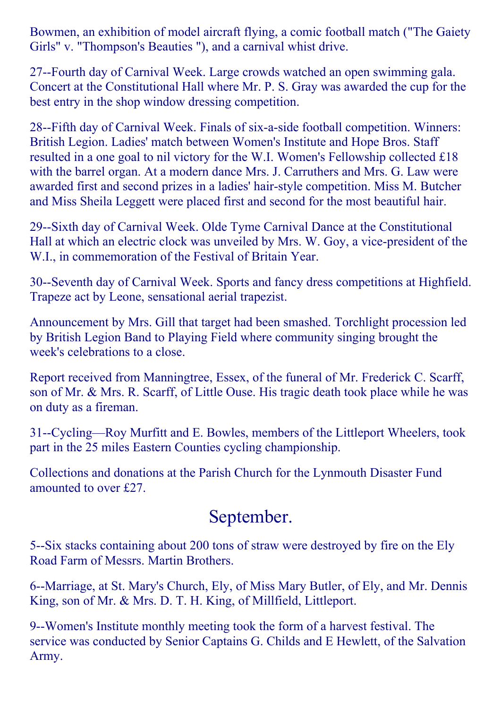Bowmen, an exhibition of model aircraft flying, a comic football match ("The Gaiety Girls" v. "Thompson's Beauties "), and a carnival whist drive.

27-Fourth day of Carnival Week. Large crowds watched an open swimming gala. Concert at the Constitutional Hall where Mr. P. S. Gray was awarded the cup for the best entry in the shop window dressing competition.

28-Fifth day of Carnival Week. Finals of six-a-side football competition. Winners: British Legion. Ladies' match between Women's Institute and Hope Bros. Staff resulted in a one goal to nil victory for the W.I. Women's Fellowship collected £18 with the barrel organ. At a modern dance Mrs. J. Carruthers and Mrs. G. Law were awarded first and second prizes in a ladies' hair-style competition. Miss M. Butcher and Miss Sheila Leggett were placed first and second for the most beautiful hair.

29--Sixth day of Carnival Week. Olde Tyme Carnival Dance at the Constitutional Hall at which an electric clock was unveiled by Mrs. W. Goy, a vice-president of the W.I., in commemoration of the Festival of Britain Year.

30--Seventh day of Carnival Week. Sports and fancy dress competitions at Highfield. Trapeze act by Leone, sensational aerial trapezist.

Announcement by Mrs. Gill that target had been smashed. Torchlight procession led by British Legion Band to Playing Field where community singing brought the week's celebrations to a close.

Report received from Manningtree, Essex, of the funeral of Mr. Frederick C. Scarff, son of Mr. & Mrs. R. Scarff, of Little Ouse. His tragic death took place while he was on duty as a fireman.

31--Cycling—Roy Murfitt and E. Bowles, members of the Littleport Wheelers, took part in the 25 miles Eastern Counties cycling championship.

Collections and donations at the Parish Church for the Lynmouth Disaster Fund amounted to over £27.

#### September.

5--Six stacks containing about 200 tons of straw were destroyed by fire on the Ely Road Farm of Messrs. Martin Brothers.

6--Marriage, at St. Mary's Church, Ely, of Miss Mary Butler, of Ely, and Mr. Dennis King, son of Mr. & Mrs. D. T. H. King, of Millfield, Littleport.

9--Women's Institute monthly meeting took the form of a harvest festival. The service was conducted by Senior Captains G. Childs and E Hewlett, of the Salvation Army.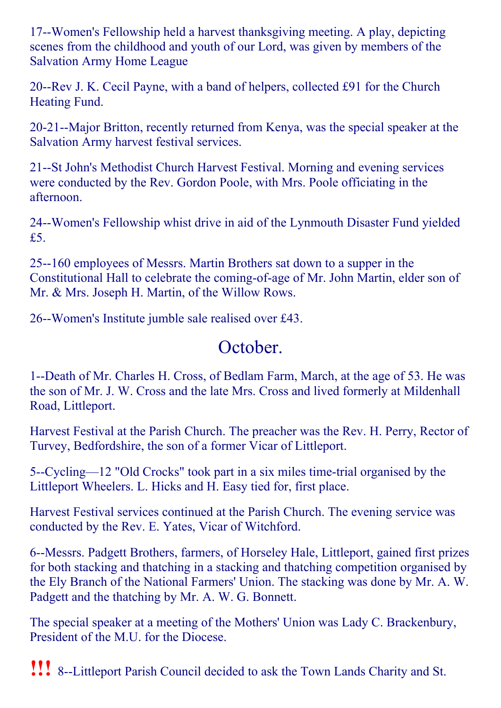17--Women's Fellowship held a harvest thanksgiving meeting. A play, depicting scenes from the childhood and youth of our Lord, was given by members of the Salvation Army Home League

20--Rev J. K. Cecil Payne, with a band of helpers, collected £91 for the Church Heating Fund.

20-21--Major Britton, recently returned from Kenya, was the special speaker at the Salvation Army harvest festival services.

21--St John's Methodist Church Harvest Festival. Morning and evening services were conducted by the Rev. Gordon Poole, with Mrs. Poole officiating in the afternoon.

24--Women's Fellowship whist drive in aid of the Lynmouth Disaster Fund yielded £5.

25--160 employees of Messrs. Martin Brothers sat down to a supper in the Constitutional Hall to celebrate the coming-of-age of Mr. John Martin, elder son of Mr. & Mrs. Joseph H. Martin, of the Willow Rows.

26--Women's Institute jumble sale realised over £43.

#### October.

1--Death of Mr. Charles H. Cross, of Bedlam Farm, March, at the age of 53. He was the son of Mr. J. W. Cross and the late Mrs. Cross and lived formerly at Mildenhall Road, Littleport.

Harvest Festival at the Parish Church. The preacher was the Rev. H. Perry, Rector of Turvey, Bedfordshire, the son of a former Vicar of Littleport.

5--Cycling—12 "Old Crocks" took part in a six miles time-trial organised by the Littleport Wheelers. L. Hicks and H. Easy tied for, first place.

Harvest Festival services continued at the Parish Church. The evening service was conducted by the Rev. E. Yates, Vicar of Witchford.

6--Messrs. Padgett Brothers, farmers, of Horseley Hale, Littleport, gained first prizes for both stacking and thatching in a stacking and thatching competition organised by the Ely Branch of the National Farmers' Union. The stacking was done by Mr. A. W. Padgett and the thatching by Mr. A. W. G. Bonnett.

The special speaker at a meeting of the Mothers' Union was Lady C. Brackenbury, President of the M.U. for the Diocese.

!!! 8Littleport Parish Council decided to ask the Town Lands Charity and St.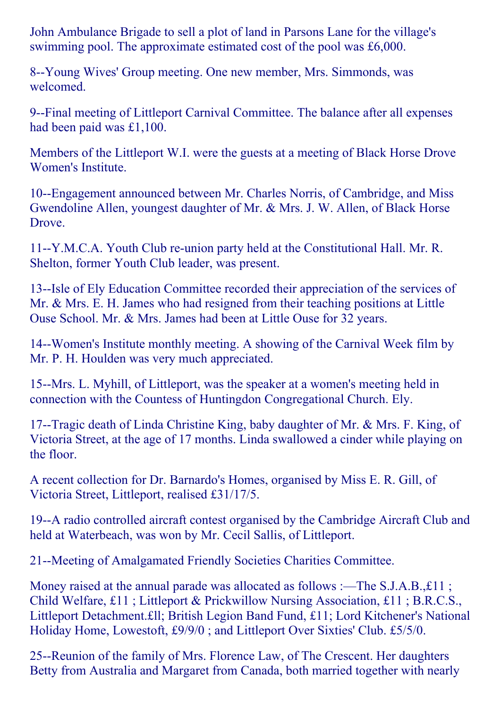John Ambulance Brigade to sell a plot of land in Parsons Lane for the village's swimming pool. The approximate estimated cost of the pool was £6,000.

8--Young Wives' Group meeting. One new member, Mrs. Simmonds, was welcomed.

9--Final meeting of Littleport Carnival Committee. The balance after all expenses had been paid was £1,100.

Members of the Littleport W.I. were the guests at a meeting of Black Horse Drove Women's Institute.

10--Engagement announced between Mr. Charles Norris, of Cambridge, and Miss Gwendoline Allen, youngest daughter of Mr. & Mrs. J. W. Allen, of Black Horse Drove.

11--Y.M.C.A. Youth Club re-union party held at the Constitutional Hall. Mr. R. Shelton, former Youth Club leader, was present.

13--Isle of Ely Education Committee recorded their appreciation of the services of Mr. & Mrs. E. H. James who had resigned from their teaching positions at Little Ouse School. Mr. & Mrs. James had been at Little Ouse for 32 years.

14--Women's Institute monthly meeting. A showing of the Carnival Week film by Mr. P. H. Houlden was very much appreciated.

15--Mrs. L. Myhill, of Littleport, was the speaker at a women's meeting held in connection with the Countess of Huntingdon Congregational Church. Ely.

17--Tragic death of Linda Christine King, baby daughter of Mr. & Mrs. F. King, of Victoria Street, at the age of 17 months. Linda swallowed a cinder while playing on the floor.

A recent collection for Dr. Barnardo's Homes, organised by Miss E. R. Gill, of Victoria Street, Littleport, realised £31/17/5.

19--A radio controlled aircraft contest organised by the Cambridge Aircraft Club and held at Waterbeach, was won by Mr. Cecil Sallis, of Littleport.

21--Meeting of Amalgamated Friendly Societies Charities Committee.

Money raised at the annual parade was allocated as follows :—The S.J.A.B., £11 ; Child Welfare, £11 ; Littleport & Prickwillow Nursing Association, £11 ; B.R.C.S., Littleport Detachment.£ll; British Legion Band Fund, £11; Lord Kitchener's National Holiday Home, Lowestoft, £9/9/0 ; and Littleport Over Sixties' Club. £5/5/0.

25--Reunion of the family of Mrs. Florence Law, of The Crescent. Her daughters Betty from Australia and Margaret from Canada, both married together with nearly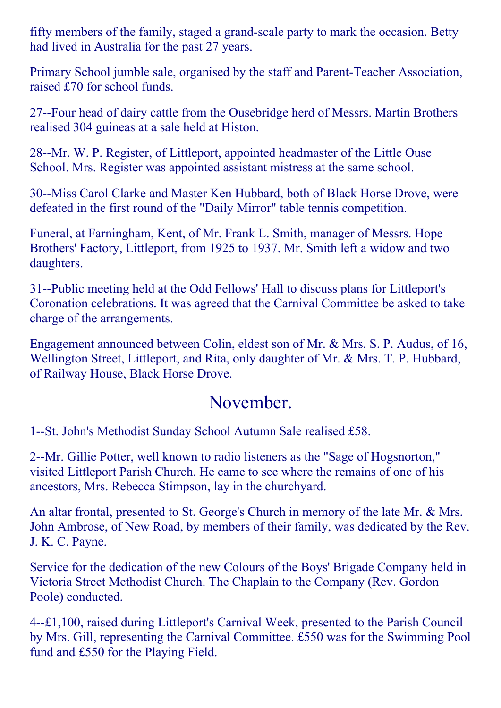fifty members of the family, staged a grand-scale party to mark the occasion. Betty had lived in Australia for the past 27 years.

Primary School jumble sale, organised by the staff and Parent-Teacher Association, raised £70 for school funds.

27-Four head of dairy cattle from the Ousebridge herd of Messrs. Martin Brothers realised 304 guineas at a sale held at Histon.

28--Mr. W. P. Register, of Littleport, appointed headmaster of the Little Ouse School. Mrs. Register was appointed assistant mistress at the same school.

30--Miss Carol Clarke and Master Ken Hubbard, both of Black Horse Drove, were defeated in the first round of the "Daily Mirror" table tennis competition.

Funeral, at Farningham, Kent, of Mr. Frank L. Smith, manager of Messrs. Hope Brothers' Factory, Littleport, from 1925 to 1937. Mr. Smith left a widow and two daughters.

31--Public meeting held at the Odd Fellows' Hall to discuss plans for Littleport's Coronation celebrations. It was agreed that the Carnival Committee be asked to take charge of the arrangements.

Engagement announced between Colin, eldest son of Mr. & Mrs. S. P. Audus, of 16, Wellington Street, Littleport, and Rita, only daughter of Mr. & Mrs. T. P. Hubbard, of Railway House, Black Horse Drove.

#### November.

1--St. John's Methodist Sunday School Autumn Sale realised £58.

2--Mr. Gillie Potter, well known to radio listeners as the "Sage of Hogsnorton," visited Littleport Parish Church. He came to see where the remains of one of his ancestors, Mrs. Rebecca Stimpson, lay in the churchyard.

An altar frontal, presented to St. George's Church in memory of the late Mr. & Mrs. John Ambrose, of New Road, by members of their family, was dedicated by the Rev. J. K. C. Payne.

Service for the dedication of the new Colours of the Boys' Brigade Company held in Victoria Street Methodist Church. The Chaplain to the Company (Rev. Gordon Poole) conducted.

4£1,100, raised during Littleport's Carnival Week, presented to the Parish Council by Mrs. Gill, representing the Carnival Committee. £550 was for the Swimming Pool fund and £550 for the Playing Field.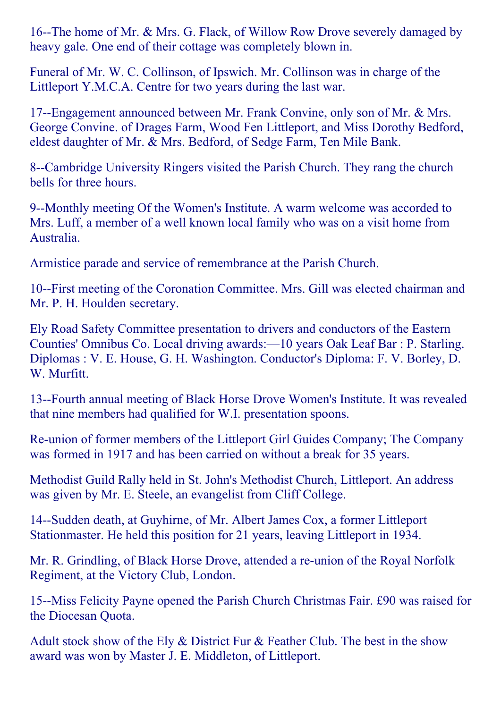16--The home of Mr. & Mrs. G. Flack, of Willow Row Drove severely damaged by heavy gale. One end of their cottage was completely blown in.

Funeral of Mr. W. C. Collinson, of Ipswich. Mr. Collinson was in charge of the Littleport Y.M.C.A. Centre for two years during the last war.

17--Engagement announced between Mr. Frank Convine, only son of Mr. & Mrs. George Convine. of Drages Farm, Wood Fen Littleport, and Miss Dorothy Bedford, eldest daughter of Mr. & Mrs. Bedford, of Sedge Farm, Ten Mile Bank.

8--Cambridge University Ringers visited the Parish Church. They rang the church bells for three hours.

9--Monthly meeting Of the Women's Institute. A warm welcome was accorded to Mrs. Luff, a member of a well known local family who was on a visit home from Australia.

Armistice parade and service of remembrance at the Parish Church.

10-First meeting of the Coronation Committee. Mrs. Gill was elected chairman and Mr. P. H. Houlden secretary.

Ely Road Safety Committee presentation to drivers and conductors of the Eastern Counties' Omnibus Co. Local driving awards:—10 years Oak Leaf Bar : P. Starling. Diplomas : V. E. House, G. H. Washington. Conductor's Diploma: F. V. Borley, D. W. Murfitt.

13--Fourth annual meeting of Black Horse Drove Women's Institute. It was revealed that nine members had qualified for W.I. presentation spoons.

Re-union of former members of the Littleport Girl Guides Company; The Company was formed in 1917 and has been carried on without a break for 35 years.

Methodist Guild Rally held in St. John's Methodist Church, Littleport. An address was given by Mr. E. Steele, an evangelist from Cliff College.

14--Sudden death, at Guyhirne, of Mr. Albert James Cox, a former Littleport Stationmaster. He held this position for 21 years, leaving Littleport in 1934.

Mr. R. Grindling, of Black Horse Drove, attended a re-union of the Royal Norfolk Regiment, at the Victory Club, London.

15--Miss Felicity Payne opened the Parish Church Christmas Fair. £90 was raised for the Diocesan Quota.

Adult stock show of the Ely  $\&$  District Fur  $\&$  Feather Club. The best in the show award was won by Master J. E. Middleton, of Littleport.